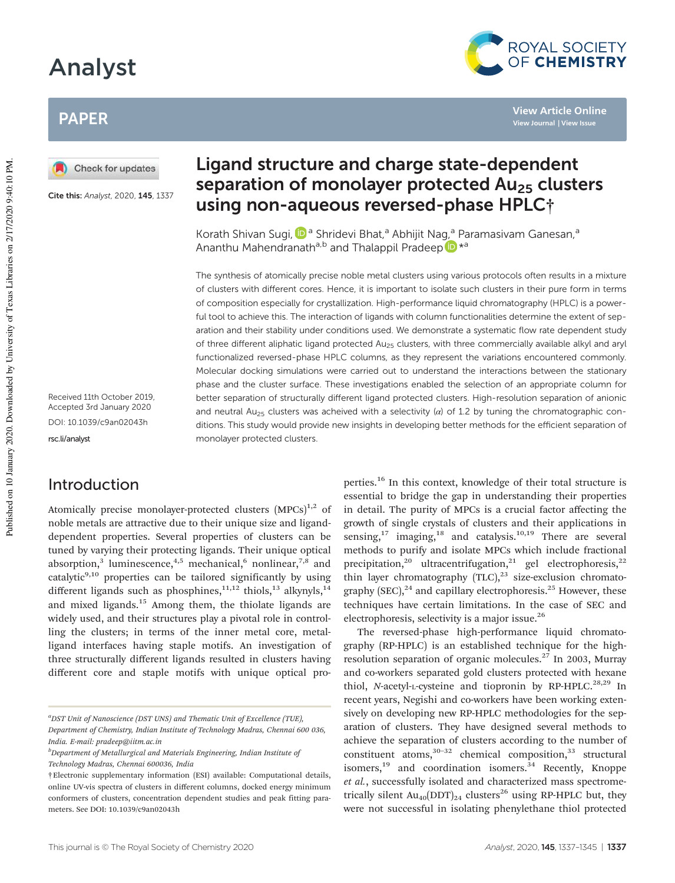# Analyst

# PAPER



Cite this: Analyst, 2020, 145, 1337

Received 11th October 2019, Accepted 3rd January 2020 DOI: 10.1039/c9an02043h

rsc.li/analyst

### Introduction

Atomically precise monolayer-protected clusters  $(MPCs)^{1,2}$  of noble metals are attractive due to their unique size and liganddependent properties. Several properties of clusters can be tuned by varying their protecting ligands. Their unique optical absorption,<sup>3</sup> luminescence,<sup>4,5</sup> mechanical,<sup>6</sup> nonlinear,<sup>7,8</sup> and catalytic $9,10$  properties can be tailored significantly by using different ligands such as phosphines,<sup>11,12</sup> thiols,<sup>13</sup> alkynyls,<sup>14</sup> and mixed ligands.<sup>15</sup> Among them, the thiolate ligands are widely used, and their structures play a pivotal role in controlling the clusters; in terms of the inner metal core, metalligand interfaces having staple motifs. An investigation of three structurally different ligands resulted in clusters having different core and staple motifs with unique optical pro-

# Ligand structure and charge state-dependent separation of monolayer protected  $Au_{25}$  clusters using non-aqueous reversed-phase HPLC†

Korath Shivan Sugi, D<sup>a</sup> Shridevi Bhat,<sup>a</sup> Abhijit Nag,<sup>a</sup> Paramasivam Ganesan,<sup>a</sup> Ananthu Mahendranath<sup>a,b</sup> and Thalappil Pradeep D<sup>\*a</sup>

The synthesis of atomically precise noble metal clusters using various protocols often results in a mixture of clusters with different cores. Hence, it is important to isolate such clusters in their pure form in terms of composition especially for crystallization. High-performance liquid chromatography (HPLC) is a powerful tool to achieve this. The interaction of ligands with column functionalities determine the extent of separation and their stability under conditions used. We demonstrate a systematic flow rate dependent study of three different aliphatic ligand protected Au<sub>25</sub> clusters, with three commercially available alkyl and aryl functionalized reversed-phase HPLC columns, as they represent the variations encountered commonly. Molecular docking simulations were carried out to understand the interactions between the stationary phase and the cluster surface. These investigations enabled the selection of an appropriate column for better separation of structurally different ligand protected clusters. High-resolution separation of anionic and neutral Au<sub>25</sub> clusters was acheived with a selectivity ( $\alpha$ ) of 1.2 by tuning the chromatographic conditions. This study would provide new insights in developing better methods for the efficient separation of monolayer protected clusters.

> perties.<sup>16</sup> In this context, knowledge of their total structure is essential to bridge the gap in understanding their properties in detail. The purity of MPCs is a crucial factor affecting the growth of single crystals of clusters and their applications in sensing,<sup>17</sup> imaging,<sup>18</sup> and catalysis.<sup>10,19</sup> There are several methods to purify and isolate MPCs which include fractional precipitation,<sup>20</sup> ultracentrifugation,<sup>21</sup> gel electrophoresis,<sup>22</sup> thin layer chromatography  $(TLC),^{23}$  size-exclusion chromatography  $(SEC),^{24}$  and capillary electrophoresis.<sup>25</sup> However, these techniques have certain limitations. In the case of SEC and electrophoresis, selectivity is a major issue.<sup>26</sup>

> The reversed-phase high-performance liquid chromatography (RP-HPLC) is an established technique for the highresolution separation of organic molecules.<sup>27</sup> In 2003, Murray and co-workers separated gold clusters protected with hexane thiol, *N*-acetyl-L-cysteine and tiopronin by RP-HPLC.<sup>28,29</sup> In recent years, Negishi and co-workers have been working extensively on developing new RP-HPLC methodologies for the separation of clusters. They have designed several methods to achieve the separation of clusters according to the number of constituent atoms, $30-32$  chemical composition, $33$  structural isomers, $19$  and coordination isomers. $34$  Recently, Knoppe *et al.*, successfully isolated and characterized mass spectrometrically silent  $Au_{40}(DDT)_{24}$  clusters<sup>26</sup> using RP-HPLC but, they were not successful in isolating phenylethane thiol protected



**View Article Online View Journal | View Issue**

*<sup>a</sup>DST Unit of Nanoscience (DST UNS) and Thematic Unit of Excellence (TUE), Department of Chemistry, Indian Institute of Technology Madras, Chennai 600 036, India. E-mail: pradeep@iitm.ac.in*

*<sup>b</sup>Department of Metallurgical and Materials Engineering, Indian Institute of Technology Madras, Chennai 600036, India*

<sup>†</sup>Electronic supplementary information (ESI) available: Computational details, online UV-vis spectra of clusters in different columns, docked energy minimum conformers of clusters, concentration dependent studies and peak fitting parameters. See DOI: 10.1039/c9an02043h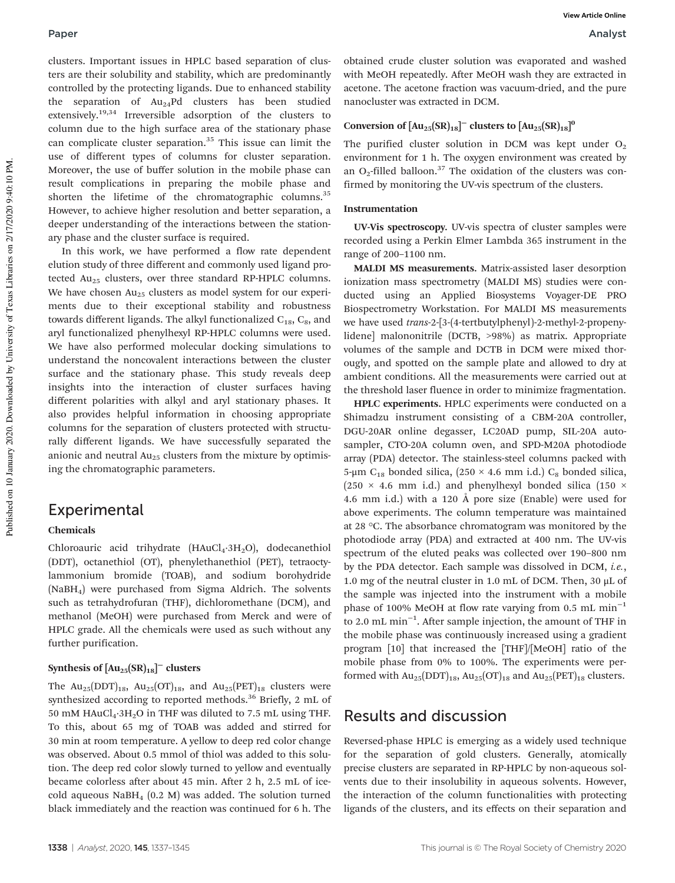clusters. Important issues in HPLC based separation of clusters are their solubility and stability, which are predominantly controlled by the protecting ligands. Due to enhanced stability the separation of  $Au_{24}Pd$  clusters has been studied extensively.<sup>19,34</sup> Irreversible adsorption of the clusters to column due to the high surface area of the stationary phase can complicate cluster separation.<sup>35</sup> This issue can limit the use of different types of columns for cluster separation. Moreover, the use of buffer solution in the mobile phase can result complications in preparing the mobile phase and shorten the lifetime of the chromatographic columns.<sup>35</sup> However, to achieve higher resolution and better separation, a deeper understanding of the interactions between the stationary phase and the cluster surface is required.

In this work, we have performed a flow rate dependent elution study of three different and commonly used ligand protected  $Au_{25}$  clusters, over three standard RP-HPLC columns. We have chosen Au<sub>25</sub> clusters as model system for our experiments due to their exceptional stability and robustness towards different ligands. The alkyl functionalized  $C_{18}$ ,  $C_{8}$ , and aryl functionalized phenylhexyl RP-HPLC columns were used. We have also performed molecular docking simulations to understand the noncovalent interactions between the cluster surface and the stationary phase. This study reveals deep insights into the interaction of cluster surfaces having different polarities with alkyl and aryl stationary phases. It also provides helpful information in choosing appropriate columns for the separation of clusters protected with structurally different ligands. We have successfully separated the anionic and neutral  $Au_{25}$  clusters from the mixture by optimising the chromatographic parameters.

#### Experimental

#### Chemicals

Chloroauric acid trihydrate  $(HAuCl<sub>4</sub>·3H<sub>2</sub>O)$ , dodecanethiol (DDT), octanethiol (OT), phenylethanethiol (PET), tetraoctylammonium bromide (TOAB), and sodium borohydride (NaBH4) were purchased from Sigma Aldrich. The solvents such as tetrahydrofuran (THF), dichloromethane (DCM), and methanol (MeOH) were purchased from Merck and were of HPLC grade. All the chemicals were used as such without any further purification.

#### Synthesis of  $\text{[Au}_{25}\text{(SR)}_{18}\text{]}^-$  clusters

The  $Au_{25}(DDT)_{18}$ ,  $Au_{25}(OT)_{18}$ , and  $Au_{25}(PET)_{18}$  clusters were synthesized according to reported methods.<sup>36</sup> Briefly, 2 mL of 50 mM HAuCl<sub>4</sub>·3H<sub>2</sub>O in THF was diluted to 7.5 mL using THF. To this, about 65 mg of TOAB was added and stirred for 30 min at room temperature. A yellow to deep red color change was observed. About 0.5 mmol of thiol was added to this solution. The deep red color slowly turned to yellow and eventually became colorless after about 45 min. After 2 h, 2.5 mL of icecold aqueous  $N$ aBH<sub>4</sub> (0.2 M) was added. The solution turned black immediately and the reaction was continued for 6 h. The

obtained crude cluster solution was evaporated and washed with MeOH repeatedly. After MeOH wash they are extracted in acetone. The acetone fraction was vacuum-dried, and the pure nanocluster was extracted in DCM.

#### Conversion of  $\text{[Au}_{25}\text{(SR)}_{18}\text{]}^-$  clusters to  $\text{[Au}_{25}\text{(SR)}_{18}\text{]}^0$

The purified cluster solution in DCM was kept under  $O<sub>2</sub>$ environment for 1 h. The oxygen environment was created by an  $O_2$ -filled balloon.<sup>37</sup> The oxidation of the clusters was confirmed by monitoring the UV-vis spectrum of the clusters.

#### Instrumentation

UV-Vis spectroscopy. UV-vis spectra of cluster samples were recorded using a Perkin Elmer Lambda 365 instrument in the range of 200–1100 nm.

MALDI MS measurements. Matrix-assisted laser desorption ionization mass spectrometry (MALDI MS) studies were conducted using an Applied Biosystems Voyager-DE PRO Biospectrometry Workstation. For MALDI MS measurements we have used *trans*-2-[3-(4-tertbutylphenyl)-2-methyl-2-propenylidene] malononitrile (DCTB, >98%) as matrix. Appropriate volumes of the sample and DCTB in DCM were mixed thorougly, and spotted on the sample plate and allowed to dry at ambient conditions. All the measurements were carried out at the threshold laser fluence in order to minimize fragmentation.

HPLC experiments. HPLC experiments were conducted on a Shimadzu instrument consisting of a CBM-20A controller, DGU-20AR online degasser, LC20AD pump, SIL-20A autosampler, CTO-20A column oven, and SPD-M20A photodiode array (PDA) detector. The stainless-steel columns packed with 5-μm C<sub>18</sub> bonded silica, (250 × 4.6 mm i.d.) C<sub>8</sub> bonded silica, (250  $\times$  4.6 mm i.d.) and phenylhexyl bonded silica (150  $\times$ 4.6 mm i.d.) with a 120 Å pore size (Enable) were used for above experiments. The column temperature was maintained at 28 °C. The absorbance chromatogram was monitored by the photodiode array (PDA) and extracted at 400 nm. The UV-vis spectrum of the eluted peaks was collected over 190–800 nm by the PDA detector. Each sample was dissolved in DCM, *i.e.*, 1.0 mg of the neutral cluster in 1.0 mL of DCM. Then, 30 μL of the sample was injected into the instrument with a mobile phase of 100% MeOH at flow rate varying from 0.5 mL  $min^{-1}$ to 2.0 mL min−<sup>1</sup> . After sample injection, the amount of THF in the mobile phase was continuously increased using a gradient program [10] that increased the [THF]/[MeOH] ratio of the mobile phase from 0% to 100%. The experiments were performed with  $Au_{25}(DDT)_{18}$ ,  $Au_{25}(OT)_{18}$  and  $Au_{25}(PET)_{18}$  clusters.

#### Results and discussion

Reversed-phase HPLC is emerging as a widely used technique for the separation of gold clusters. Generally, atomically precise clusters are separated in RP-HPLC by non-aqueous solvents due to their insolubility in aqueous solvents. However, the interaction of the column functionalities with protecting ligands of the clusters, and its effects on their separation and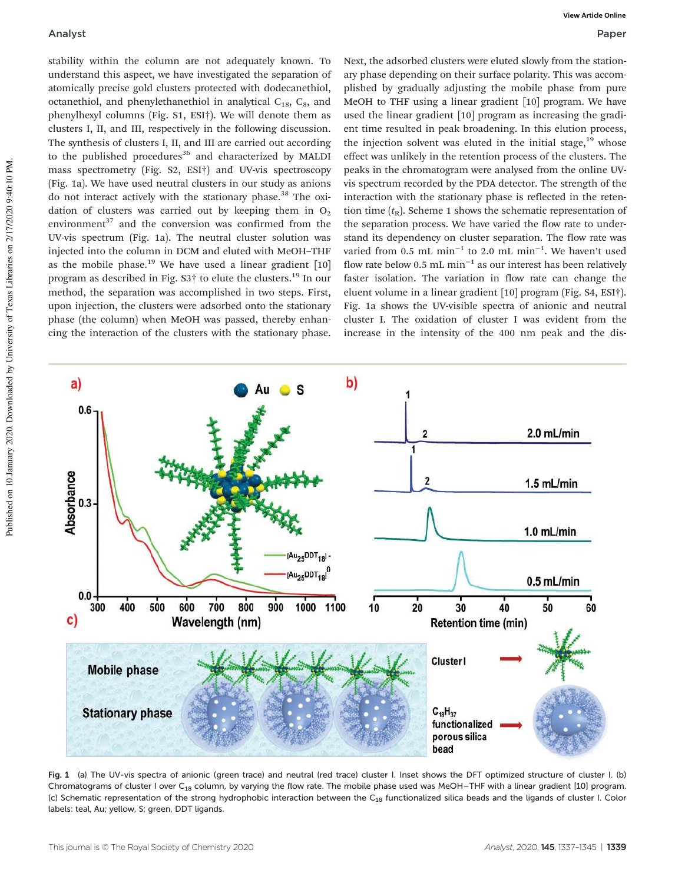#### Analyst Paper

stability within the column are not adequately known. To understand this aspect, we have investigated the separation of atomically precise gold clusters protected with dodecanethiol, octanethiol, and phenylethanethiol in analytical  $C_{18}$ ,  $C_8$ , and phenylhexyl columns (Fig. S1, ESI†). We will denote them as clusters I, II, and III, respectively in the following discussion. The synthesis of clusters I, II, and III are carried out according to the published procedures<sup>36</sup> and characterized by MALDI mass spectrometry (Fig. S2, ESI†) and UV-vis spectroscopy (Fig. 1a). We have used neutral clusters in our study as anions do not interact actively with the stationary phase.<sup>38</sup> The oxidation of clusters was carried out by keeping them in  $O<sub>2</sub>$ environment $37$  and the conversion was confirmed from the UV-vis spectrum (Fig. 1a). The neutral cluster solution was injected into the column in DCM and eluted with MeOH–THF as the mobile phase.<sup>19</sup> We have used a linear gradient  $[10]$ program as described in Fig. S3† to elute the clusters.<sup>19</sup> In our method, the separation was accomplished in two steps. First, upon injection, the clusters were adsorbed onto the stationary phase (the column) when MeOH was passed, thereby enhancing the interaction of the clusters with the stationary phase.

Next, the adsorbed clusters were eluted slowly from the stationary phase depending on their surface polarity. This was accomplished by gradually adjusting the mobile phase from pure MeOH to THF using a linear gradient [10] program. We have used the linear gradient [10] program as increasing the gradient time resulted in peak broadening. In this elution process, the injection solvent was eluted in the initial stage, $19$  whose effect was unlikely in the retention process of the clusters. The peaks in the chromatogram were analysed from the online UVvis spectrum recorded by the PDA detector. The strength of the interaction with the stationary phase is reflected in the retention time  $(t_R)$ . Scheme 1 shows the schematic representation of the separation process. We have varied the flow rate to understand its dependency on cluster separation. The flow rate was varied from  $0.5$  mL min<sup>-1</sup> to 2.0 mL min<sup>-1</sup>. We haven't used flow rate below 0.5 mL  $min^{-1}$  as our interest has been relatively faster isolation. The variation in flow rate can change the eluent volume in a linear gradient [10] program (Fig. S4, ESI†). Fig. 1a shows the UV-visible spectra of anionic and neutral cluster I. The oxidation of cluster I was evident from the increase in the intensity of the 400 nm peak and the dis-



Fig. 1 (a) The UV-vis spectra of anionic (green trace) and neutral (red trace) cluster I. Inset shows the DFT optimized structure of cluster I. (b) Chromatograms of cluster I over C<sub>18</sub> column, by varying the flow rate. The mobile phase used was MeOH-THF with a linear gradient [10] program. (c) Schematic representation of the strong hydrophobic interaction between the C<sub>18</sub> functionalized silica beads and the ligands of cluster I. Color labels: teal, Au; yellow, S; green, DDT ligands.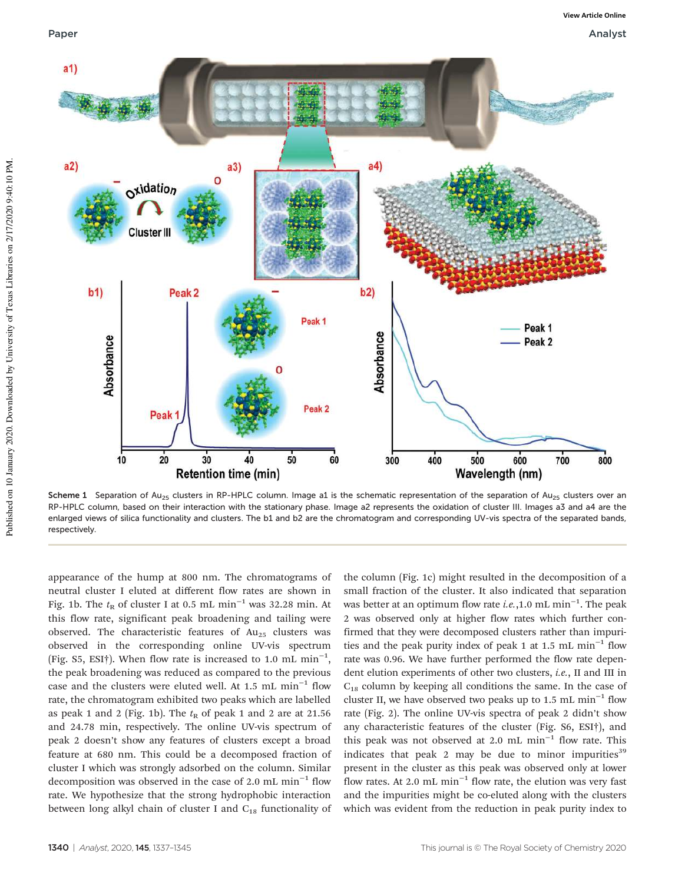

Scheme 1 Separation of Au<sub>25</sub> clusters in RP-HPLC column. Image a1 is the schematic representation of the separation of Au<sub>25</sub> clusters over an RP-HPLC column, based on their interaction with the stationary phase. Image a2 represents the oxidation of cluster III. Images a3 and a4 are the enlarged views of silica functionality and clusters. The b1 and b2 are the chromatogram and corresponding UV-vis spectra of the separated bands, respectively.

appearance of the hump at 800 nm. The chromatograms of neutral cluster I eluted at different flow rates are shown in Fig. 1b. The  $t<sub>R</sub>$  of cluster I at 0.5 mL min<sup>-1</sup> was 32.28 min. At this flow rate, significant peak broadening and tailing were observed. The characteristic features of  $Au_{25}$  clusters was observed in the corresponding online UV-vis spectrum (Fig. S5, ESI†). When flow rate is increased to 1.0 mL min−<sup>1</sup> , the peak broadening was reduced as compared to the previous case and the clusters were eluted well. At 1.5 mL  $min^{-1}$  flow rate, the chromatogram exhibited two peaks which are labelled as peak 1 and 2 (Fig. 1b). The  $t<sub>R</sub>$  of peak 1 and 2 are at 21.56 and 24.78 min, respectively. The online UV-vis spectrum of peak 2 doesn't show any features of clusters except a broad feature at 680 nm. This could be a decomposed fraction of cluster I which was strongly adsorbed on the column. Similar decomposition was observed in the case of 2.0 mL min−<sup>1</sup> flow rate. We hypothesize that the strong hydrophobic interaction between long alkyl chain of cluster I and  $C_{18}$  functionality of

the column (Fig. 1c) might resulted in the decomposition of a small fraction of the cluster. It also indicated that separation was better at an optimum flow rate *i.e.*,1.0 mL min−<sup>1</sup> . The peak 2 was observed only at higher flow rates which further confirmed that they were decomposed clusters rather than impurities and the peak purity index of peak 1 at 1.5 mL min<sup>-1</sup> flow rate was 0.96. We have further performed the flow rate dependent elution experiments of other two clusters, *i.e.*, II and III in  $C_{18}$  column by keeping all conditions the same. In the case of cluster II, we have observed two peaks up to 1.5 mL  $min^{-1}$  flow rate (Fig. 2). The online UV-vis spectra of peak 2 didn't show any characteristic features of the cluster (Fig. S6, ESI†), and this peak was not observed at 2.0 mL min−<sup>1</sup> flow rate. This indicates that peak 2 may be due to minor impurities<sup>39</sup> present in the cluster as this peak was observed only at lower flow rates. At 2.0 mL min−<sup>1</sup> flow rate, the elution was very fast and the impurities might be co-eluted along with the clusters which was evident from the reduction in peak purity index to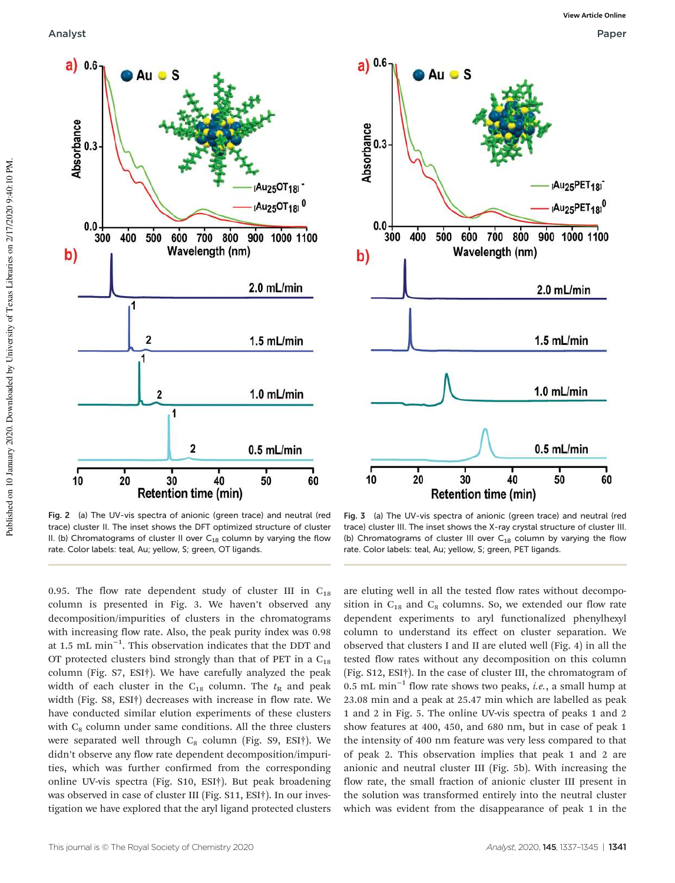



Fig. 2 (a) The UV-vis spectra of anionic (green trace) and neutral (red trace) cluster II. The inset shows the DFT optimized structure of cluster II. (b) Chromatograms of cluster II over  $C_{18}$  column by varying the flow rate. Color labels: teal, Au; yellow, S; green, OT ligands.

Fig. 3 (a) The UV-vis spectra of anionic (green trace) and neutral (red trace) cluster III. The inset shows the X-ray crystal structure of cluster III. (b) Chromatograms of cluster III over  $C_{18}$  column by varying the flow rate. Color labels: teal, Au; yellow, S; green, PET ligands.

0.95. The flow rate dependent study of cluster III in  $C_{18}$ column is presented in Fig. 3. We haven't observed any decomposition/impurities of clusters in the chromatograms with increasing flow rate. Also, the peak purity index was 0.98 at 1.5 mL min−<sup>1</sup> . This observation indicates that the DDT and OT protected clusters bind strongly than that of PET in a  $C_{18}$ column (Fig. S7, ESI†). We have carefully analyzed the peak width of each cluster in the  $C_{18}$  column. The  $t_R$  and peak width (Fig. S8, ESI†) decreases with increase in flow rate. We have conducted similar elution experiments of these clusters with  $C_8$  column under same conditions. All the three clusters were separated well through  $C_8$  column (Fig. S9, ESI†). We didn't observe any flow rate dependent decomposition/impurities, which was further confirmed from the corresponding online UV-vis spectra (Fig. S10, ESI†). But peak broadening was observed in case of cluster III (Fig. S11, ESI†). In our investigation we have explored that the aryl ligand protected clusters

are eluting well in all the tested flow rates without decomposition in  $C_{18}$  and  $C_8$  columns. So, we extended our flow rate dependent experiments to aryl functionalized phenylhexyl column to understand its effect on cluster separation. We observed that clusters I and II are eluted well (Fig. 4) in all the tested flow rates without any decomposition on this column (Fig. S12, ESI†). In the case of cluster III, the chromatogram of 0.5 mL min−<sup>1</sup> flow rate shows two peaks, *i.e.*, a small hump at 23.08 min and a peak at 25.47 min which are labelled as peak 1 and 2 in Fig. 5. The online UV-vis spectra of peaks 1 and 2 show features at 400, 450, and 680 nm, but in case of peak 1 the intensity of 400 nm feature was very less compared to that of peak 2. This observation implies that peak 1 and 2 are anionic and neutral cluster III (Fig. 5b). With increasing the flow rate, the small fraction of anionic cluster III present in the solution was transformed entirely into the neutral cluster which was evident from the disappearance of peak 1 in the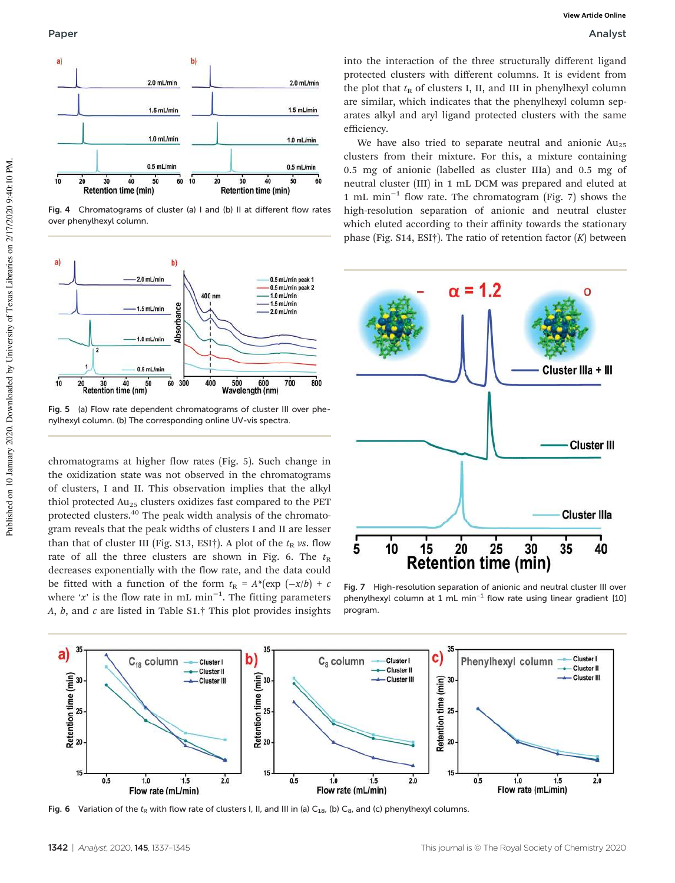

Fig. 4 Chromatograms of cluster (a) I and (b) II at different flow rates over phenylhexyl column.



Fig. 5 (a) Flow rate dependent chromatograms of cluster III over phenylhexyl column. (b) The corresponding online UV-vis spectra.

chromatograms at higher flow rates (Fig. 5). Such change in the oxidization state was not observed in the chromatograms of clusters, I and II. This observation implies that the alkyl thiol protected Au<sub>25</sub> clusters oxidizes fast compared to the PET protected clusters.<sup>40</sup> The peak width analysis of the chromatogram reveals that the peak widths of clusters I and II are lesser than that of cluster III (Fig. S13, ESI†). A plot of the  $t_R$  *vs*. flow rate of all the three clusters are shown in Fig. 6. The  $t<sub>R</sub>$ decreases exponentially with the flow rate, and the data could be fitted with a function of the form  $t<sub>R</sub> = A<sup>*</sup>(exp (-x/b) + c$ where '*x*' is the flow rate in mL min−<sup>1</sup> . The fitting parameters *A*, *b*, and *c* are listed in Table S1.† This plot provides insights

into the interaction of the three structurally different ligand protected clusters with different columns. It is evident from the plot that  $t<sub>R</sub>$  of clusters I, II, and III in phenylhexyl column are similar, which indicates that the phenylhexyl column separates alkyl and aryl ligand protected clusters with the same efficiency.

We have also tried to separate neutral and anionic  $Au_{25}$ clusters from their mixture. For this, a mixture containing 0.5 mg of anionic (labelled as cluster IIIa) and 0.5 mg of neutral cluster (III) in 1 mL DCM was prepared and eluted at 1 mL min−<sup>1</sup> flow rate. The chromatogram (Fig. 7) shows the high-resolution separation of anionic and neutral cluster which eluted according to their affinity towards the stationary phase (Fig. S14, ESI†). The ratio of retention factor (*K*) between



Fig. 7 High-resolution separation of anionic and neutral cluster III over phenylhexyl column at 1 mL min−<sup>1</sup> flow rate using linear gradient [10] program.



Fig. 6 Variation of the t<sub>R</sub> with flow rate of clusters I, II, and III in (a) C<sub>18</sub>, (b) C<sub>8</sub>, and (c) phenylhexyl columns.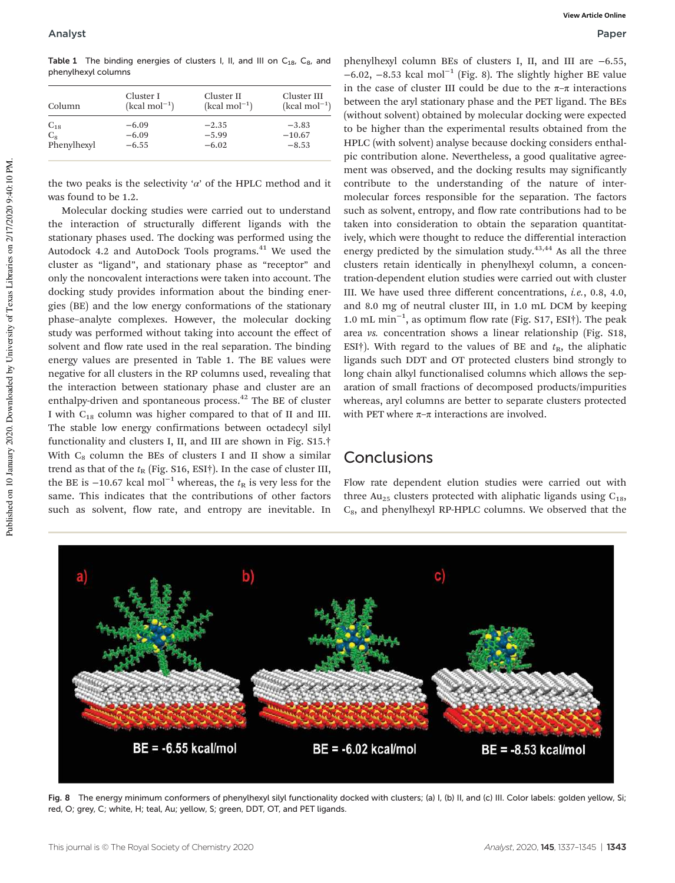Table 1 The binding energies of clusters I, II, and III on  $C_{18}$ ,  $C_{8}$ , and phenylhexyl columns

| Column      | Cluster I      | Cluster II     | Cluster III    |
|-------------|----------------|----------------|----------------|
|             | $(kcal mol-1)$ | $(kcal mol-1)$ | $(kcal mol-1)$ |
| $C_{18}$    | $-6.09$        | $-2.35$        | $-3.83$        |
| $C_8$       | $-6.09$        | $-5.99$        | $-10.67$       |
| Phenylhexyl | $-6.55$        | $-6.02$        | $-8.53$        |
|             |                |                |                |

the two peaks is the selectivity ' $\alpha$ ' of the HPLC method and it was found to be 1.2.

Molecular docking studies were carried out to understand the interaction of structurally different ligands with the stationary phases used. The docking was performed using the Autodock 4.2 and AutoDock Tools programs. $41$  We used the cluster as "ligand", and stationary phase as "receptor" and only the noncovalent interactions were taken into account. The docking study provides information about the binding energies (BE) and the low energy conformations of the stationary phase–analyte complexes. However, the molecular docking study was performed without taking into account the effect of solvent and flow rate used in the real separation. The binding energy values are presented in Table 1. The BE values were negative for all clusters in the RP columns used, revealing that the interaction between stationary phase and cluster are an enthalpy-driven and spontaneous process.<sup>42</sup> The BE of cluster I with C<sup>18</sup> column was higher compared to that of II and III. The stable low energy confirmations between octadecyl silyl functionality and clusters I, II, and III are shown in Fig. S15.† With  $C_8$  column the BEs of clusters I and II show a similar trend as that of the  $t_R$  (Fig. S16, ESI<sup>†</sup>). In the case of cluster III, the BE is −10.67 kcal mol<sup>-1</sup> whereas, the  $t<sub>R</sub>$  is very less for the same. This indicates that the contributions of other factors such as solvent, flow rate, and entropy are inevitable. In

phenylhexyl column BEs of clusters I, II, and III are −6.55, −6.02, −8.53 kcal mol−<sup>1</sup> (Fig. 8). The slightly higher BE value in the case of cluster III could be due to the  $\pi-\pi$  interactions between the aryl stationary phase and the PET ligand. The BEs (without solvent) obtained by molecular docking were expected to be higher than the experimental results obtained from the HPLC (with solvent) analyse because docking considers enthalpic contribution alone. Nevertheless, a good qualitative agreement was observed, and the docking results may significantly contribute to the understanding of the nature of intermolecular forces responsible for the separation. The factors such as solvent, entropy, and flow rate contributions had to be taken into consideration to obtain the separation quantitatively, which were thought to reduce the differential interaction energy predicted by the simulation study. $43,44$  As all the three clusters retain identically in phenylhexyl column, a concentration-dependent elution studies were carried out with cluster III. We have used three different concentrations, *i.e.*, 0.8, 4.0, and 8.0 mg of neutral cluster III, in 1.0 mL DCM by keeping 1.0 mL min−<sup>1</sup> , as optimum flow rate (Fig. S17, ESI†). The peak area *vs.* concentration shows a linear relationship (Fig. S18, ESI<sup>†</sup>). With regard to the values of BE and  $t<sub>R</sub>$ , the aliphatic ligands such DDT and OT protected clusters bind strongly to long chain alkyl functionalised columns which allows the separation of small fractions of decomposed products/impurities whereas, aryl columns are better to separate clusters protected with PET where  $\pi-\pi$  interactions are involved.

#### **Conclusions**

Flow rate dependent elution studies were carried out with three Au<sub>25</sub> clusters protected with aliphatic ligands using  $C_{18}$ ,  $C_8$ , and phenylhexyl RP-HPLC columns. We observed that the



Fig. 8 The energy minimum conformers of phenylhexyl silyl functionality docked with clusters; (a) I, (b) II, and (c) III. Color labels: golden yellow, Si; red, O; grey, C; white, H; teal, Au; yellow, S; green, DDT, OT, and PET ligands.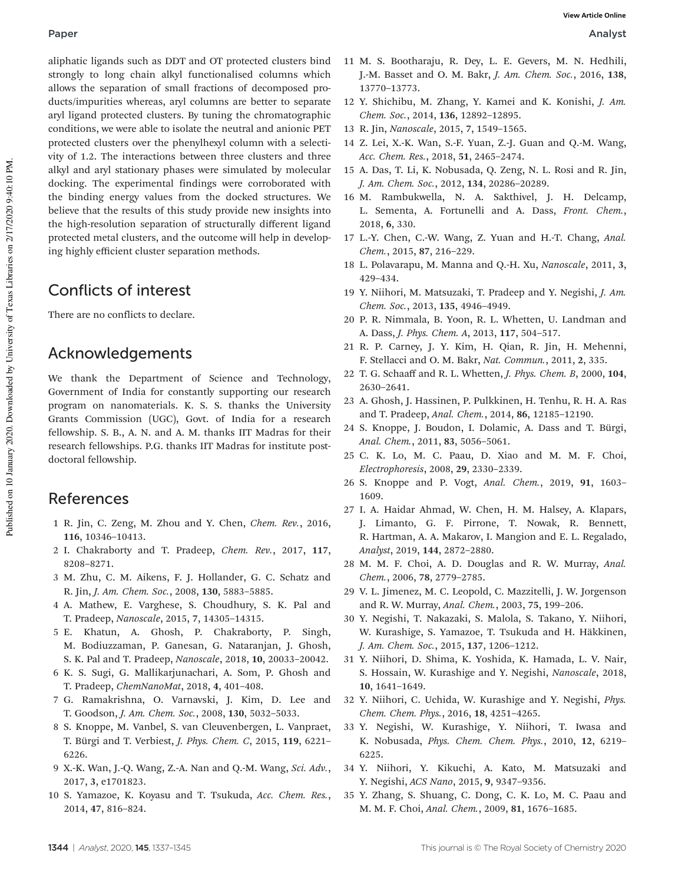aliphatic ligands such as DDT and OT protected clusters bind strongly to long chain alkyl functionalised columns which allows the separation of small fractions of decomposed products/impurities whereas, aryl columns are better to separate aryl ligand protected clusters. By tuning the chromatographic conditions, we were able to isolate the neutral and anionic PET protected clusters over the phenylhexyl column with a selectivity of 1.2. The interactions between three clusters and three alkyl and aryl stationary phases were simulated by molecular docking. The experimental findings were corroborated with the binding energy values from the docked structures. We believe that the results of this study provide new insights into the high-resolution separation of structurally different ligand protected metal clusters, and the outcome will help in developing highly efficient cluster separation methods.

# Conflicts of interest

There are no conflicts to declare.

## Acknowledgements

We thank the Department of Science and Technology, Government of India for constantly supporting our research program on nanomaterials. K. S. S. thanks the University Grants Commission (UGC), Govt. of India for a research fellowship. S. B., A. N. and A. M. thanks IIT Madras for their research fellowships. P.G. thanks IIT Madras for institute postdoctoral fellowship.

#### References

- 1 R. Jin, C. Zeng, M. Zhou and Y. Chen, *Chem. Rev.*, 2016, 116, 10346–10413.
- 2 I. Chakraborty and T. Pradeep, *Chem. Rev.*, 2017, 117, 8208–8271.
- 3 M. Zhu, C. M. Aikens, F. J. Hollander, G. C. Schatz and R. Jin, *J. Am. Chem. Soc.*, 2008, 130, 5883–5885.
- 4 A. Mathew, E. Varghese, S. Choudhury, S. K. Pal and T. Pradeep, *Nanoscale*, 2015, 7, 14305–14315.
- 5 E. Khatun, A. Ghosh, P. Chakraborty, P. Singh, M. Bodiuzzaman, P. Ganesan, G. Nataranjan, J. Ghosh, S. K. Pal and T. Pradeep, *Nanoscale*, 2018, 10, 20033–20042.
- 6 K. S. Sugi, G. Mallikarjunachari, A. Som, P. Ghosh and T. Pradeep, *ChemNanoMat*, 2018, 4, 401–408.
- 7 G. Ramakrishna, O. Varnavski, J. Kim, D. Lee and T. Goodson, *J. Am. Chem. Soc.*, 2008, 130, 5032–5033.
- 8 S. Knoppe, M. Vanbel, S. van Cleuvenbergen, L. Vanpraet, T. Bürgi and T. Verbiest, *J. Phys. Chem. C*, 2015, 119, 6221– 6226.
- 9 X.-K. Wan, J.-Q. Wang, Z.-A. Nan and Q.-M. Wang, *Sci. Adv.*, 2017, 3, e1701823.
- 10 S. Yamazoe, K. Koyasu and T. Tsukuda, *Acc. Chem. Res.*, 2014, 47, 816–824.
- 11 M. S. Bootharaju, R. Dey, L. E. Gevers, M. N. Hedhili, J.-M. Basset and O. M. Bakr, *J. Am. Chem. Soc.*, 2016, 138, 13770–13773.
- 12 Y. Shichibu, M. Zhang, Y. Kamei and K. Konishi, *J. Am. Chem. Soc.*, 2014, 136, 12892–12895.
- 13 R. Jin, *Nanoscale*, 2015, 7, 1549–1565.
- 14 Z. Lei, X.-K. Wan, S.-F. Yuan, Z.-J. Guan and Q.-M. Wang, *Acc. Chem. Res.*, 2018, 51, 2465–2474.
- 15 A. Das, T. Li, K. Nobusada, Q. Zeng, N. L. Rosi and R. Jin, *J. Am. Chem. Soc.*, 2012, 134, 20286–20289.
- 16 M. Rambukwella, N. A. Sakthivel, J. H. Delcamp, L. Sementa, A. Fortunelli and A. Dass, *Front. Chem.*, 2018, 6, 330.
- 17 L.-Y. Chen, C.-W. Wang, Z. Yuan and H.-T. Chang, *Anal. Chem.*, 2015, 87, 216–229.
- 18 L. Polavarapu, M. Manna and Q.-H. Xu, *Nanoscale*, 2011, 3, 429–434.
- 19 Y. Niihori, M. Matsuzaki, T. Pradeep and Y. Negishi, *J. Am. Chem. Soc.*, 2013, 135, 4946–4949.
- 20 P. R. Nimmala, B. Yoon, R. L. Whetten, U. Landman and A. Dass, *J. Phys. Chem. A*, 2013, 117, 504–517.
- 21 R. P. Carney, J. Y. Kim, H. Qian, R. Jin, H. Mehenni, F. Stellacci and O. M. Bakr, *Nat. Commun.*, 2011, 2, 335.
- 22 T. G. Schaaff and R. L. Whetten, *J. Phys. Chem. B*, 2000, 104, 2630–2641.
- 23 A. Ghosh, J. Hassinen, P. Pulkkinen, H. Tenhu, R. H. A. Ras and T. Pradeep, *Anal. Chem.*, 2014, 86, 12185–12190.
- 24 S. Knoppe, J. Boudon, I. Dolamic, A. Dass and T. Bürgi, *Anal. Chem.*, 2011, 83, 5056–5061.
- 25 C. K. Lo, M. C. Paau, D. Xiao and M. M. F. Choi, *Electrophoresis*, 2008, 29, 2330–2339.
- 26 S. Knoppe and P. Vogt, *Anal. Chem.*, 2019, 91, 1603– 1609.
- 27 I. A. Haidar Ahmad, W. Chen, H. M. Halsey, A. Klapars, J. Limanto, G. F. Pirrone, T. Nowak, R. Bennett, R. Hartman, A. A. Makarov, I. Mangion and E. L. Regalado, *Analyst*, 2019, 144, 2872–2880.
- 28 M. M. F. Choi, A. D. Douglas and R. W. Murray, *Anal. Chem.*, 2006, 78, 2779–2785.
- 29 V. L. Jimenez, M. C. Leopold, C. Mazzitelli, J. W. Jorgenson and R. W. Murray, *Anal. Chem.*, 2003, 75, 199–206.
- 30 Y. Negishi, T. Nakazaki, S. Malola, S. Takano, Y. Niihori, W. Kurashige, S. Yamazoe, T. Tsukuda and H. Häkkinen, *J. Am. Chem. Soc.*, 2015, 137, 1206–1212.
- 31 Y. Niihori, D. Shima, K. Yoshida, K. Hamada, L. V. Nair, S. Hossain, W. Kurashige and Y. Negishi, *Nanoscale*, 2018, 10, 1641–1649.
- 32 Y. Niihori, C. Uchida, W. Kurashige and Y. Negishi, *Phys. Chem. Chem. Phys.*, 2016, 18, 4251–4265.
- 33 Y. Negishi, W. Kurashige, Y. Niihori, T. Iwasa and K. Nobusada, *Phys. Chem. Chem. Phys.*, 2010, 12, 6219– 6225.
- 34 Y. Niihori, Y. Kikuchi, A. Kato, M. Matsuzaki and Y. Negishi, *ACS Nano*, 2015, 9, 9347–9356.
- 35 Y. Zhang, S. Shuang, C. Dong, C. K. Lo, M. C. Paau and M. M. F. Choi, *Anal. Chem.*, 2009, 81, 1676–1685.